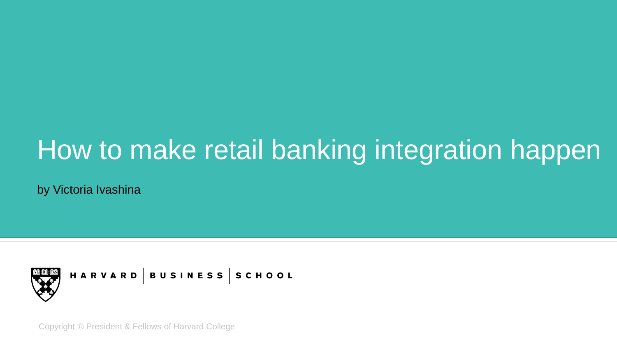# How to make retail banking integration happen

by Victoria Ivashina



HARVARD |BUSINESS |SCHOOL

Copyright © President & Fellows of Harvard College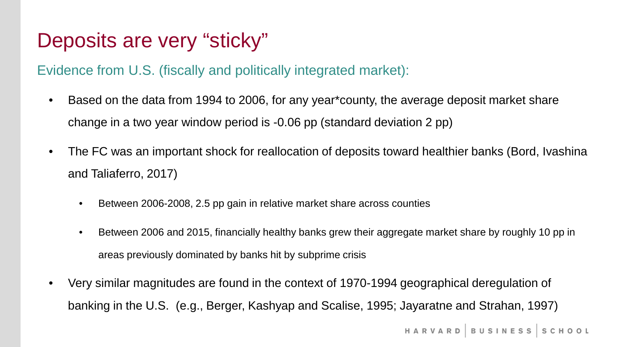### Deposits are very "sticky"

#### Evidence from U.S. (fiscally and politically integrated market):

- Based on the data from 1994 to 2006, for any year\*county, the average deposit market share change in a two year window period is -0.06 pp (standard deviation 2 pp)
- The FC was an important shock for reallocation of deposits toward healthier banks (Bord, Ivashina and Taliaferro, 2017)
	- Between 2006-2008, 2.5 pp gain in relative market share across counties
	- Between 2006 and 2015, financially healthy banks grew their aggregate market share by roughly 10 pp in areas previously dominated by banks hit by subprime crisis
- Very similar magnitudes are found in the context of 1970-1994 geographical deregulation of banking in the U.S. (e.g., Berger, Kashyap and Scalise, 1995; Jayaratne and Strahan, 1997)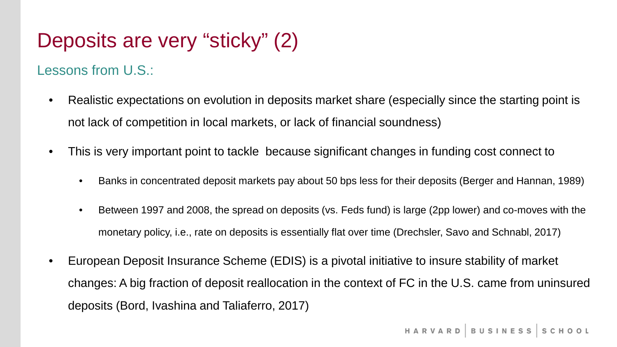## Deposits are very "sticky" (2)

### Lessons from U.S.:

- Realistic expectations on evolution in deposits market share (especially since the starting point is not lack of competition in local markets, or lack of financial soundness)
- This is very important point to tackle because significant changes in funding cost connect to
	- Banks in concentrated deposit markets pay about 50 bps less for their deposits (Berger and Hannan, 1989)
	- Between 1997 and 2008, the spread on deposits (vs. Feds fund) is large (2pp lower) and co-moves with the monetary policy, i.e., rate on deposits is essentially flat over time (Drechsler, Savo and Schnabl, 2017)
- European Deposit Insurance Scheme (EDIS) is a pivotal initiative to insure stability of market changes: A big fraction of deposit reallocation in the context of FC in the U.S. came from uninsured deposits (Bord, Ivashina and Taliaferro, 2017)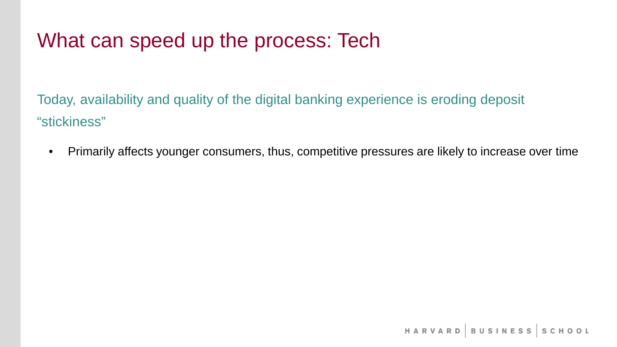## What can speed up the process: Tech

Today, availability and quality of the digital banking experience is eroding deposit "stickiness"

• Primarily affects younger consumers, thus, competitive pressures are likely to increase over time